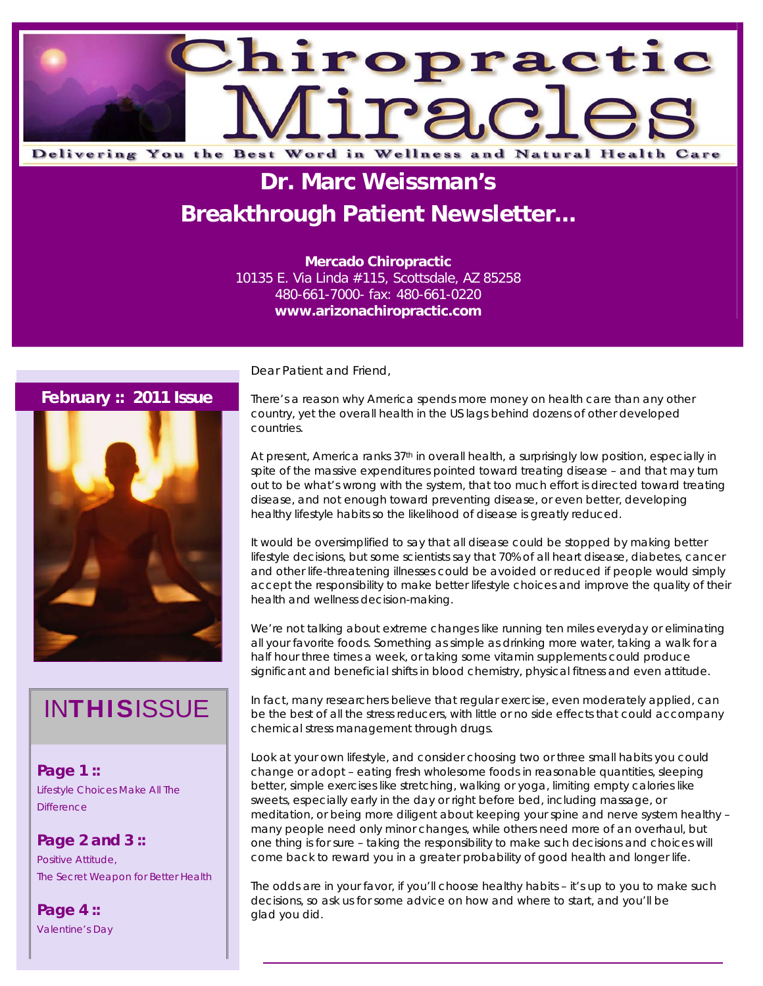

# **Dr. Marc Weissman's Breakthrough Patient Newsletter...**

**Mercado Chiropractic**  10135 E. Via Linda #115, Scottsdale, AZ 85258

480-661-7000- fax: 480-661-0220 **www.arizonachiropractic.com**

#### **February :: 2011 Issue**



# **INTHISISSUE**

**Page 1 ::**  Lifestyle Choices Make All The **Difference** 

**Page 2 and 3 ::**  Positive Attitude, The Secret Weapon for Better Health

**Page 4 ::**  Valentine's Day Dear Patient and Friend,

There's a reason why America spends more money on health care than any other country, yet the overall health in the US lags behind dozens of other developed countries.

At present, America ranks 37<sup>th</sup> in overall health, a surprisingly low position, especially in spite of the massive expenditures pointed toward treating disease – and that may turn out to be what's wrong with the system, that too much effort is directed toward treating disease, and not enough toward preventing disease, or even better, developing healthy lifestyle habits so the likelihood of disease is greatly reduced.

It would be oversimplified to say that all disease could be stopped by making better lifestyle decisions, but some scientists say that 70% of all heart disease, diabetes, cancer and other life-threatening illnesses could be avoided or reduced if people would simply accept the responsibility to make better lifestyle choices and improve the quality of their health and wellness decision-making.

We're not talking about extreme changes like running ten miles everyday or eliminating all your favorite foods. Something as simple as drinking more water, taking a walk for a half hour three times a week, or taking some vitamin supplements could produce significant and beneficial shifts in blood chemistry, physical fitness and even attitude.

In fact, many researchers believe that regular exercise, even moderately applied, can be the best of all the stress reducers, with little or no side effects that could accompany chemical stress management through drugs.

Look at your own lifestyle, and consider choosing two or three small habits you could change or adopt – eating fresh wholesome foods in reasonable quantities, sleeping better, simple exercises like stretching, walking or yoga, limiting empty calories like sweets, especially early in the day or right before bed, including massage, or meditation, or being more diligent about keeping your spine and nerve system healthy – many people need only minor changes, while others need more of an overhaul, but one thing is for sure – taking the responsibility to make such decisions and choices will come back to reward you in a greater probability of good health and longer life.

The odds are in your favor, if you'll choose healthy habits – it's up to you to make such decisions, so ask us for some advice on how and where to start, and you'll be glad you did.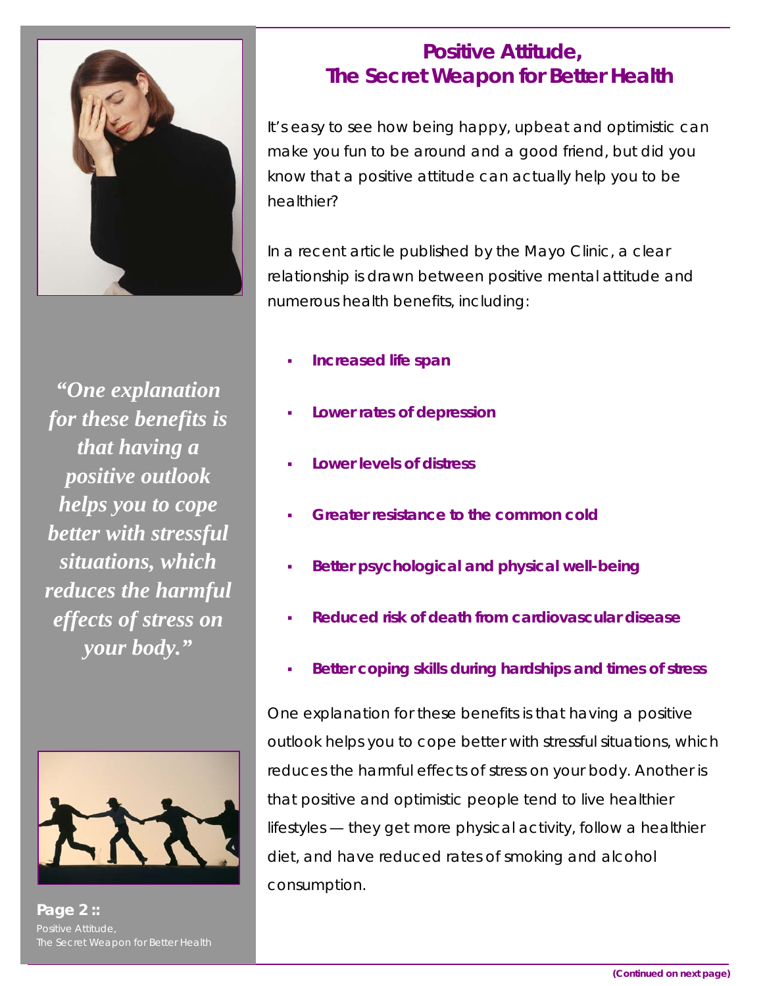

*"One explanation for these benefits is that having a positive outlook helps you to cope better with stressful situations, which reduces the harmful effects of stress on your body."* 



**Page 2 ::**  Positive Attitude,

### **Positive Attitude, The Secret Weapon for Better Health**

It's easy to see how being happy, upbeat and optimistic can make you fun to be around and a good friend, but did you know that a positive attitude can actually help you to be healthier?

In a recent article published by the Mayo Clinic, a clear relationship is drawn between positive mental attitude and numerous health benefits, including:

- **Increased life span**
- **Lower rates of depression**
- **Lower levels of distress**
- **Greater resistance to the common cold**
- **Better psychological and physical well-being**
- **Reduced risk of death from cardiovascular disease**
- **Better coping skills during hardships and times of stress**

One explanation for these benefits is that having a positive outlook helps you to cope better with stressful situations, which reduces the harmful effects of stress on your body. Another is that positive and optimistic people tend to live healthier lifestyles — they get more physical activity, follow a healthier diet, and have reduced rates of smoking and alcohol consumption.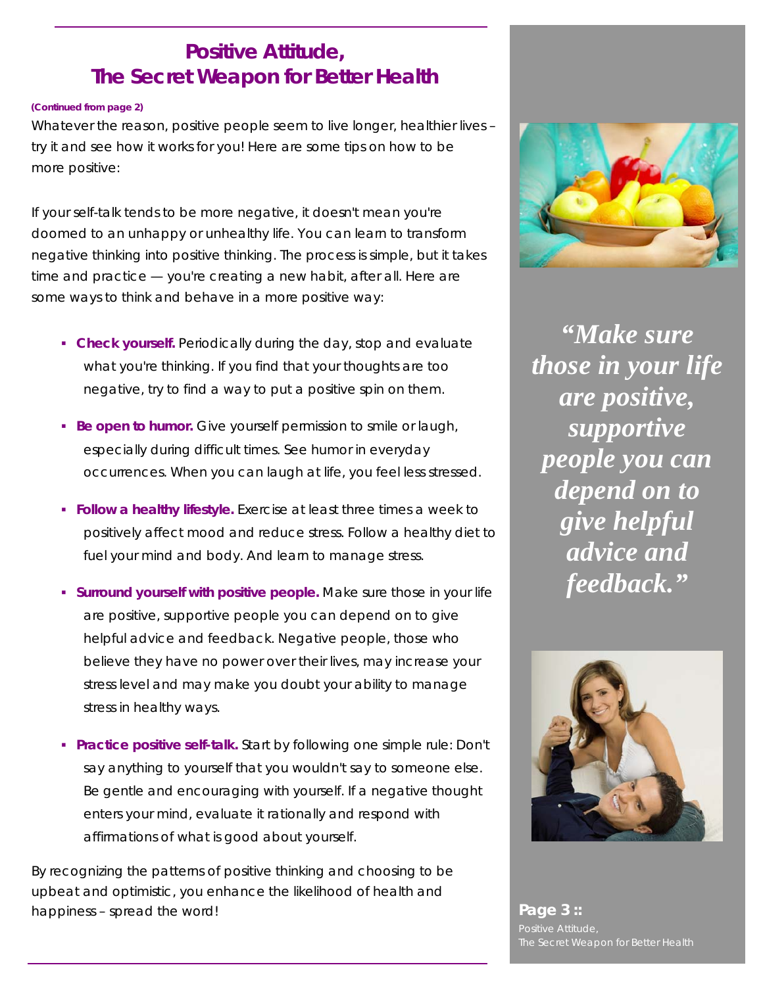### **Positive Attitude, The Secret Weapon for Better Health**

#### **(Continued from page 2)**

Whatever the reason, positive people seem to live longer, healthier lives – try it and see how it works for you! Here are some tips on how to be more positive:

If your self-talk tends to be more negative, it doesn't mean you're doomed to an unhappy or unhealthy life. You can learn to transform negative thinking into positive thinking. The process is simple, but it takes time and practice — you're creating a new habit, after all. Here are some ways to think and behave in a more positive way:

- **Check yourself.** Periodically during the day, stop and evaluate what you're thinking. If you find that your thoughts are too negative, try to find a way to put a positive spin on them.
- **Be open to humor.** Give yourself permission to smile or laugh, especially during difficult times. See humor in everyday occurrences. When you can laugh at life, you feel less stressed.
- **Follow a healthy lifestyle.** Exercise at least three times a week to positively affect mood and reduce stress. Follow a healthy diet to fuel your mind and body. And learn to manage stress.
- **Surround yourself with positive people.** Make sure those in your life are positive, supportive people you can depend on to give helpful advice and feedback. Negative people, those who believe they have no power over their lives, may increase your stress level and may make you doubt your ability to manage stress in healthy ways.
- **Practice positive self-talk.** Start by following one simple rule: Don't say anything to yourself that you wouldn't say to someone else. Be gentle and encouraging with yourself. If a negative thought enters your mind, evaluate it rationally and respond with affirmations of what is good about yourself.

By recognizing the patterns of positive thinking and choosing to be upbeat and optimistic, you enhance the likelihood of health and happiness – spread the word! **Page 3 :: Page 3 ::** 



*"Make sure those in your life are positive, supportive people you can depend on to give helpful advice and feedback."* 



Positive Attitude,